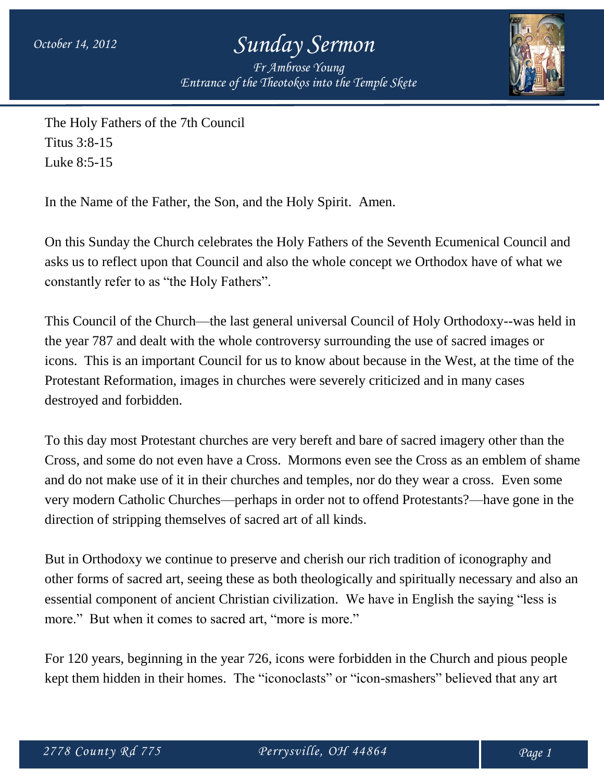*Fr Ambrose Young Entrance of the Theotokos into the Temple Skete*



The Holy Fathers of the 7th Council Titus 3:8-15 Luke 8:5-15

In the Name of the Father, the Son, and the Holy Spirit. Amen.

On this Sunday the Church celebrates the Holy Fathers of the Seventh Ecumenical Council and asks us to reflect upon that Council and also the whole concept we Orthodox have of what we constantly refer to as "the Holy Fathers".

This Council of the Church—the last general universal Council of Holy Orthodoxy--was held in the year 787 and dealt with the whole controversy surrounding the use of sacred images or icons. This is an important Council for us to know about because in the West, at the time of the Protestant Reformation, images in churches were severely criticized and in many cases destroyed and forbidden.

To this day most Protestant churches are very bereft and bare of sacred imagery other than the Cross, and some do not even have a Cross. Mormons even see the Cross as an emblem of shame and do not make use of it in their churches and temples, nor do they wear a cross. Even some very modern Catholic Churches—perhaps in order not to offend Protestants?—have gone in the direction of stripping themselves of sacred art of all kinds.

But in Orthodoxy we continue to preserve and cherish our rich tradition of iconography and other forms of sacred art, seeing these as both theologically and spiritually necessary and also an essential component of ancient Christian civilization. We have in English the saying "less is more." But when it comes to sacred art, "more is more."

For 120 years, beginning in the year 726, icons were forbidden in the Church and pious people kept them hidden in their homes. The "iconoclasts" or "icon-smashers" believed that any art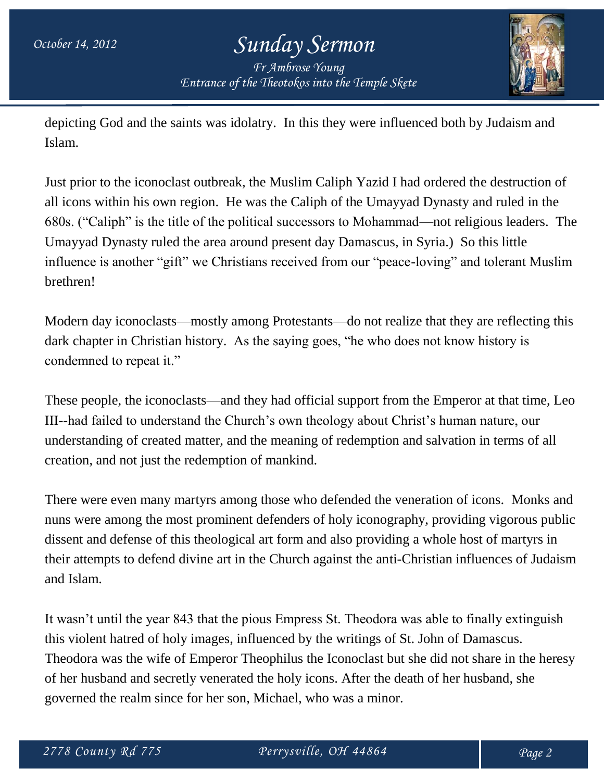### *October 14, 2012 Sunday Sermon Fr Ambrose Young Entrance of the Theotokos into the Temple Skete*



depicting God and the saints was idolatry. In this they were influenced both by Judaism and Islam.

Just prior to the iconoclast outbreak, the Muslim Caliph Yazid I had ordered the destruction of all icons within his own region. He was the Caliph of the Umayyad Dynasty and ruled in the 680s. ("Caliph" is the title of the political successors to Mohammad—not religious leaders. The Umayyad Dynasty ruled the area around present day Damascus, in Syria.) So this little influence is another "gift" we Christians received from our "peace-loving" and tolerant Muslim brethren!

Modern day iconoclasts—mostly among Protestants—do not realize that they are reflecting this dark chapter in Christian history. As the saying goes, "he who does not know history is condemned to repeat it."

These people, the iconoclasts—and they had official support from the Emperor at that time, Leo III--had failed to understand the Church's own theology about Christ's human nature, our understanding of created matter, and the meaning of redemption and salvation in terms of all creation, and not just the redemption of mankind.

There were even many martyrs among those who defended the veneration of icons. Monks and nuns were among the most prominent defenders of holy iconography, providing vigorous public dissent and defense of this theological art form and also providing a whole host of martyrs in their attempts to defend divine art in the Church against the anti-Christian influences of Judaism and Islam.

It wasn't until the year 843 that the pious Empress St. Theodora was able to finally extinguish this violent hatred of holy images, influenced by the writings of St. John of Damascus. Theodora was the wife of Emperor Theophilus the Iconoclast but she did not share in the heresy of her husband and secretly venerated the holy icons. After the death of her husband, she governed the realm since for her son, Michael, who was a minor.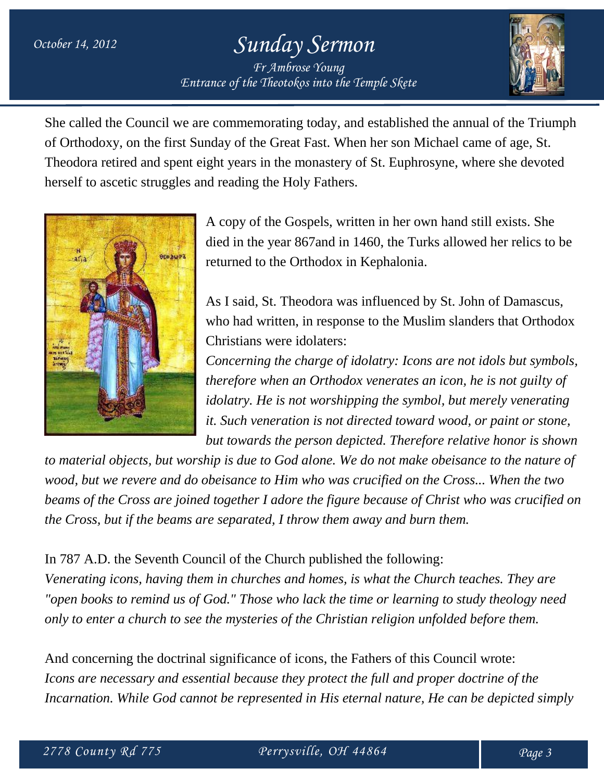### *October 14, 2012 Sunday Sermon Fr Ambrose Young Entrance of the Theotokos into the Temple Skete*



She called the Council we are commemorating today, and established the annual of the Triumph of Orthodoxy, on the first Sunday of the Great Fast. When her son Michael came of age, St. Theodora retired and spent eight years in the monastery of St. Euphrosyne, where she devoted herself to ascetic struggles and reading the Holy Fathers.



A copy of the Gospels, written in her own hand still exists. She died in the year 867and in 1460, the Turks allowed her relics to be returned to the Orthodox in Kephalonia.

As I said, St. Theodora was influenced by St. John of Damascus, who had written, in response to the Muslim slanders that Orthodox Christians were idolaters:

*Concerning the charge of idolatry: Icons are not idols but symbols, therefore when an Orthodox venerates an icon, he is not guilty of idolatry. He is not worshipping the symbol, but merely venerating it. Such veneration is not directed toward wood, or paint or stone, but towards the person depicted. Therefore relative honor is shown* 

*to material objects, but worship is due to God alone. We do not make obeisance to the nature of wood, but we revere and do obeisance to Him who was crucified on the Cross... When the two beams of the Cross are joined together I adore the figure because of Christ who was crucified on the Cross, but if the beams are separated, I throw them away and burn them.*

#### In 787 A.D. the Seventh Council of the Church published the following:

*Venerating icons, having them in churches and homes, is what the Church teaches. They are "open books to remind us of God." Those who lack the time or learning to study theology need only to enter a church to see the mysteries of the Christian religion unfolded before them.* 

And concerning the doctrinal significance of icons, the Fathers of this Council wrote: *Icons are necessary and essential because they protect the full and proper doctrine of the Incarnation. While God cannot be represented in His eternal nature, He can be depicted simply*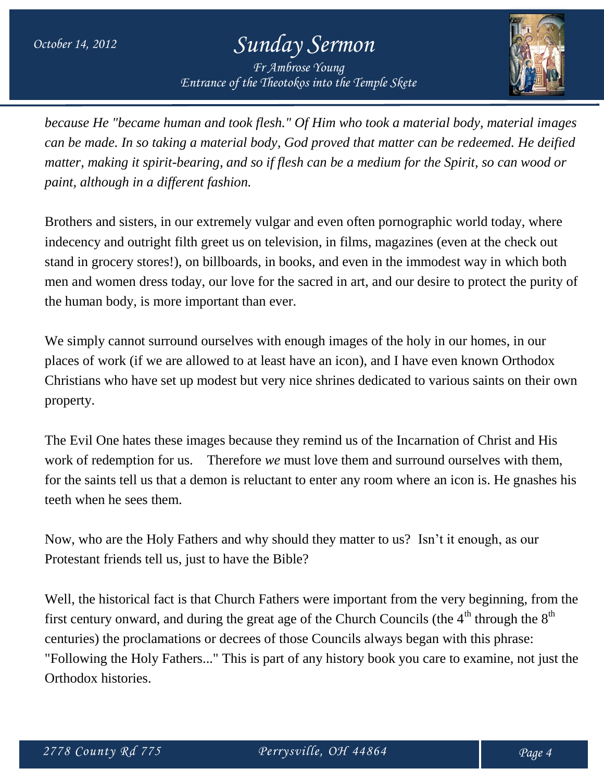*Fr Ambrose Young Entrance of the Theotokos into the Temple Skete*



*because He "became human and took flesh." Of Him who took a material body, material images can be made. In so taking a material body, God proved that matter can be redeemed. He deified matter, making it spirit-bearing, and so if flesh can be a medium for the Spirit, so can wood or paint, although in a different fashion.* 

Brothers and sisters, in our extremely vulgar and even often pornographic world today, where indecency and outright filth greet us on television, in films, magazines (even at the check out stand in grocery stores!), on billboards, in books, and even in the immodest way in which both men and women dress today, our love for the sacred in art, and our desire to protect the purity of the human body, is more important than ever.

We simply cannot surround ourselves with enough images of the holy in our homes, in our places of work (if we are allowed to at least have an icon), and I have even known Orthodox Christians who have set up modest but very nice shrines dedicated to various saints on their own property.

The Evil One hates these images because they remind us of the Incarnation of Christ and His work of redemption for us. Therefore *we* must love them and surround ourselves with them, for the saints tell us that a demon is reluctant to enter any room where an icon is. He gnashes his teeth when he sees them.

Now, who are the Holy Fathers and why should they matter to us? Isn't it enough, as our Protestant friends tell us, just to have the Bible?

Well, the historical fact is that Church Fathers were important from the very beginning, from the first century onward, and during the great age of the Church Councils (the  $4<sup>th</sup>$  through the  $8<sup>th</sup>$ centuries) the proclamations or decrees of those Councils always began with this phrase: "Following the Holy Fathers..." This is part of any history book you care to examine, not just the Orthodox histories.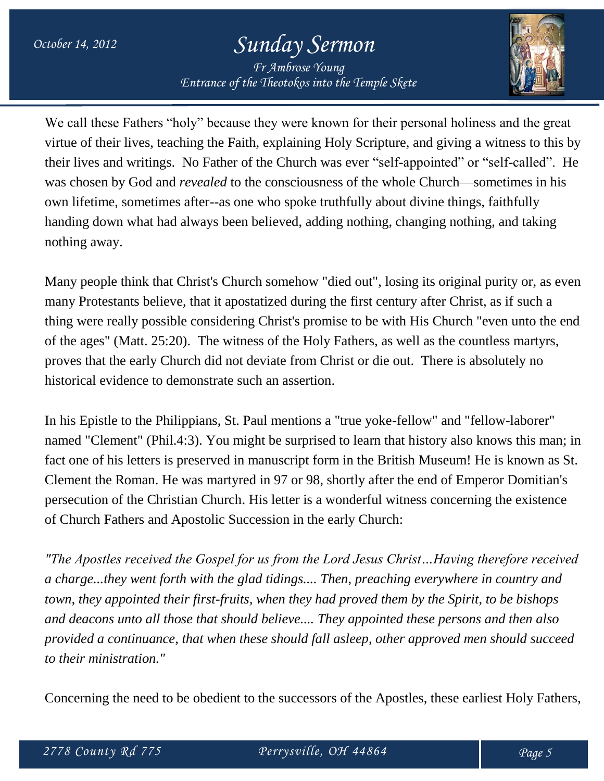*Fr Ambrose Young Entrance of the Theotokos into the Temple Skete*



We call these Fathers "holy" because they were known for their personal holiness and the great virtue of their lives, teaching the Faith, explaining Holy Scripture, and giving a witness to this by their lives and writings. No Father of the Church was ever "self-appointed" or "self-called". He was chosen by God and *revealed* to the consciousness of the whole Church—sometimes in his own lifetime, sometimes after--as one who spoke truthfully about divine things, faithfully handing down what had always been believed, adding nothing, changing nothing, and taking nothing away.

Many people think that Christ's Church somehow "died out", losing its original purity or, as even many Protestants believe, that it apostatized during the first century after Christ, as if such a thing were really possible considering Christ's promise to be with His Church "even unto the end of the ages" (Matt. 25:20). The witness of the Holy Fathers, as well as the countless martyrs, proves that the early Church did not deviate from Christ or die out. There is absolutely no historical evidence to demonstrate such an assertion.

In his Epistle to the Philippians, St. Paul mentions a "true yoke-fellow" and "fellow-laborer" named "Clement" (Phil.4:3). You might be surprised to learn that history also knows this man; in fact one of his letters is preserved in manuscript form in the British Museum! He is known as St. Clement the Roman. He was martyred in 97 or 98, shortly after the end of Emperor Domitian's persecution of the Christian Church. His letter is a wonderful witness concerning the existence of Church Fathers and Apostolic Succession in the early Church:

*"The Apostles received the Gospel for us from the Lord Jesus Christ…Having therefore received a charge...they went forth with the glad tidings.... Then, preaching everywhere in country and town, they appointed their first-fruits, when they had proved them by the Spirit, to be bishops and deacons unto all those that should believe.... They appointed these persons and then also provided a continuance, that when these should fall asleep, other approved men should succeed to their ministration."*

Concerning the need to be obedient to the successors of the Apostles, these earliest Holy Fathers,